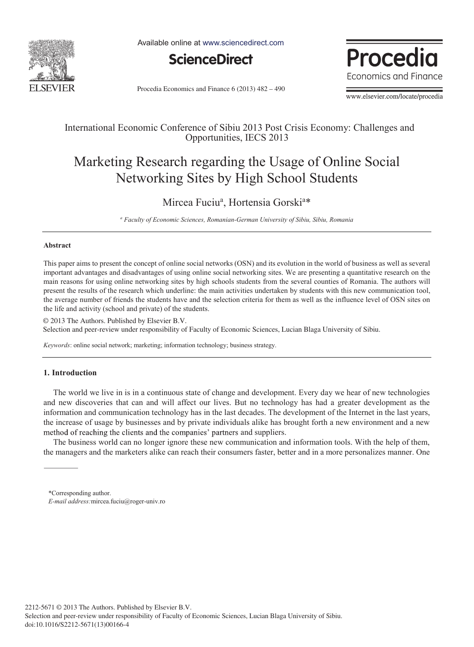

Available online at www.sciencedirect.com



Procedia Economics and Finance 6 (2013) 482 – 490



www.elsevier.com/locate/procedia

### International Economic Conference of Sibiu 2013 Post Crisis Economy: Challenges and Opportunities, IECS 2013

## Marketing Research regarding the Usage of Online Social Networking Sites by High School Students

### Mircea Fuciu<sup>a</sup>, Hortensia Gorski<sup>a\*</sup>

<sup>a</sup> Faculty of Economic Sciences, Romanian-German University of Sibiu, Sibiu, Romania

#### **Abstract**

This paper aims to present the concept of online social networks (OSN) and its evolution in the world of business as well as several important advantages and disadvantages of using online social networking sites. We are presenting a quantitative research on the main reasons for using online networking sites by high schools students from the several counties of Romania. The authors will present the results of the research which underline: the main activities undertaken by students with this new communication tool, the average number of friends the students have and the selection criteria for them as well as the influence level of OSN sites on the life and activity (school and private) of the students.

© 2013 The Authors. Published by Elsevier B.V. © 2013 The Authors. Published by Elsevier B.V. Selection and peer-review under responsibility of Faculty of Economic Sciences, Lucian Blaga University of Sibiu.

*Keywords*: online social network; marketing; information technology; business strategy.

#### **1. Introduction**

The world we live in is in a continuous state of change and development. Every day we hear of new technologies and new discoveries that can and will affect our lives. But no technology has had a greater development as the information and communication technology has in the last decades. The development of the Internet in the last years, the increase of usage by businesses and by private individuals alike has brought forth a new environment and a new method of reaching the clients and the companies' partners and suppliers.

The business world can no longer ignore these new communication and information tools. With the help of them, the managers and the marketers alike can reach their consumers faster, better and in a more personalizes manner. One

<sup>\*</sup>Corresponding author. *E-mail address:*mircea.fuciu@roger-univ.ro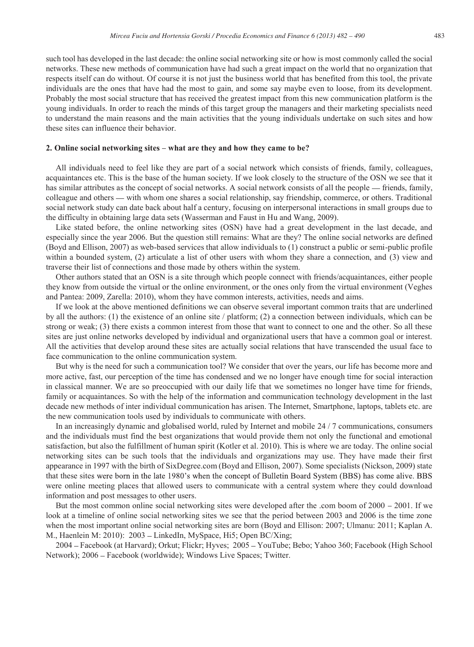such tool has developed in the last decade: the online social networking site or how is most commonly called the social networks. These new methods of communication have had such a great impact on the world that no organization that respects itself can do without. Of course it is not just the business world that has benefited from this tool, the private individuals are the ones that have had the most to gain, and some say maybe even to loose, from its development. Probably the most social structure that has received the greatest impact from this new communication platform is the young individuals. In order to reach the minds of this target group the managers and their marketing specialists need to understand the main reasons and the main activities that the young individuals undertake on such sites and how these sites can influence their behavior.

#### **2. Online social networking sites – what are they and how they came to be?**

All individuals need to feel like they are part of a social network which consists of friends, family, colleagues, acquaintances etc. This is the base of the human society. If we look closely to the structure of the OSN we see that it has similar attributes as the concept of social networks. A social network consists of all the people — friends, family, colleague and others — with whom one shares a social relationship, say friendship, commerce, or others. Traditional social network study can date back about half a century, focusing on interpersonal interactions in small groups due to the difficulty in obtaining large data sets (Wasserman and Faust in Hu and Wang, 2009).

Like stated before, the online networking sites (OSN) have had a great development in the last decade, and especially since the year 2006. But the question still remains: What are they? The online social networks are defined (Boyd and Ellison, 2007) as web-based services that allow individuals to (1) construct a public or semi-public profile within a bounded system, (2) articulate a list of other users with whom they share a connection, and (3) view and traverse their list of connections and those made by others within the system.

Other authors stated that an OSN is a site through which people connect with friends/acquaintances, either people they know from outside the virtual or the online environment, or the ones only from the virtual environment (Veghes and Pantea: 2009, Zarella: 2010), whom they have common interests, activities, needs and aims.

If we look at the above mentioned definitions we can observe several important common traits that are underlined by all the authors: (1) the existence of an online site / platform; (2) a connection between individuals, which can be strong or weak; (3) there exists a common interest from those that want to connect to one and the other. So all these sites are just online networks developed by individual and organizational users that have a common goal or interest. All the activities that develop around these sites are actually social relations that have transcended the usual face to face communication to the online communication system.

But why is the need for such a communication tool? We consider that over the years, our life has become more and more active, fast, our perception of the time has condensed and we no longer have enough time for social interaction in classical manner. We are so preoccupied with our daily life that we sometimes no longer have time for friends, family or acquaintances. So with the help of the information and communication technology development in the last decade new methods of inter individual communication has arisen. The Internet, Smartphone, laptops, tablets etc. are the new communication tools used by individuals to communicate with others.

In an increasingly dynamic and globalised world, ruled by Internet and mobile 24 / 7 communications, consumers and the individuals must find the best organizations that would provide them not only the functional and emotional satisfaction, but also the fulfillment of human spirit (Kotler et al. 2010). This is where we are today. The online social networking sites can be such tools that the individuals and organizations may use. They have made their first appearance in 1997 with the birth of SixDegree.com (Boyd and Ellison, 2007). Some specialists (Nickson, 2009) state that these sites were born in the late 1980's when the concept of Bulletin Board System (BBS) has come alive. BBS were online meeting places that allowed users to communicate with a central system where they could download information and post messages to other users.

But the most common online social networking sites were developed after the .com boom of  $2000 - 2001$ . If we look at a timeline of online social networking sites we see that the period between 2003 and 2006 is the time zone when the most important online social networking sites are born (Boyd and Ellison: 2007; Ulmanu: 2011; Kaplan A. M., Haenlein M: 2010): 2003 – LinkedIn, MySpace, Hi5; Open BC/Xing;

2004 – Facebook (at Harvard); Orkut; Flickr; Hyves; 2005 – YouTube; Bebo; Yahoo 360; Facebook (High School Network); 2006 – Facebook (worldwide); Windows Live Spaces; Twitter.